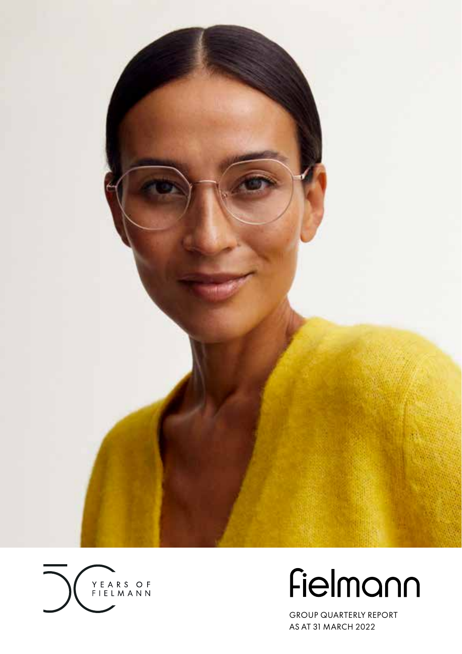



# Fielmann

GROUP QUARTERLY REPORT AS AT 31 MARCH 2022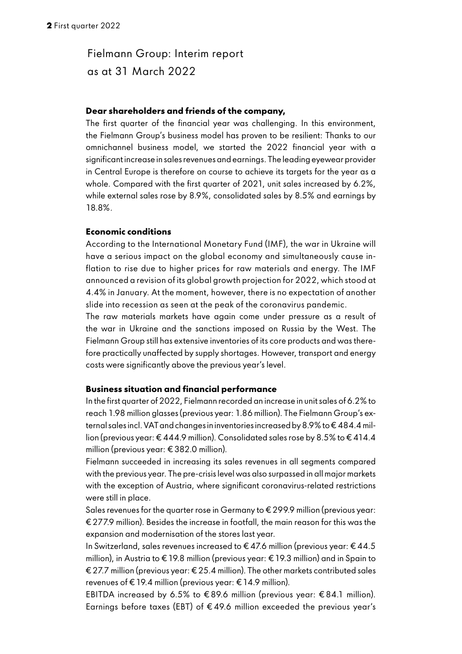## Fielmann Group: Interim report as at 31 March 2022

#### **Dear shareholders and friends of the company,**

The first quarter of the financial year was challenging. In this environment, the Fielmann Group's business model has proven to be resilient: Thanks to our omnichannel business model, we started the 2022 financial year with a significant increase in sales revenues and earnings. The leading eyewear provider in Central Europe is therefore on course to achieve its targets for the year as a whole. Compared with the first quarter of 2021, unit sales increased by 6.2%, while external sales rose by 8.9%, consolidated sales by 8.5% and earnings by 18.8%.

### **Economic conditions**

According to the International Monetary Fund (IMF), the war in Ukraine will have a serious impact on the global economy and simultaneously cause inflation to rise due to higher prices for raw materials and energy. The IMF announced a revision of its global growth projection for 2022, which stood at 4.4% in January. At the moment, however, there is no expectation of another slide into recession as seen at the peak of the coronavirus pandemic.

The raw materials markets have again come under pressure as a result of the war in Ukraine and the sanctions imposed on Russia by the West. The Fielmann Group still has extensive inventories of its core products and was therefore practically unaffected by supply shortages. However, transport and energy costs were significantly above the previous year's level.

### **Business situation and financial performance**

In the first quarter of 2022, Fielmann recorded an increase in unit sales of 6.2% to reach 1.98 million glasses (previous year: 1.86 million). The Fielmann Group's external sales incl. VAT and changes in inventories increased by 8.9% to € 484.4 million (previous year: € 444.9 million). Consolidated sales rose by 8.5% to € 414.4 million (previous year: € 382.0 million).

Fielmann succeeded in increasing its sales revenues in all segments compared with the previous year. The pre-crisis level was also surpassed in all major markets with the exception of Austria, where significant coronavirus-related restrictions were still in place.

Sales revenues for the quarter rose in Germany to € 299.9 million (previous year: € 277.9 million). Besides the increase in footfall, the main reason for this was the expansion and modernisation of the stores last year.

In Switzerland, sales revenues increased to € 47.6 million (previous year: € 44.5 million), in Austria to €19.8 million (previous year: €19.3 million) and in Spain to € 27.7 million (previous year: € 25.4 million). The other markets contributed sales revenues of €19.4 million (previous year: €14.9 million).

EBITDA increased by 6.5% to  $\epsilon$ 89.6 million (previous year:  $\epsilon$ 84.1 million). Earnings before taxes (EBT) of € 49.6 million exceeded the previous year's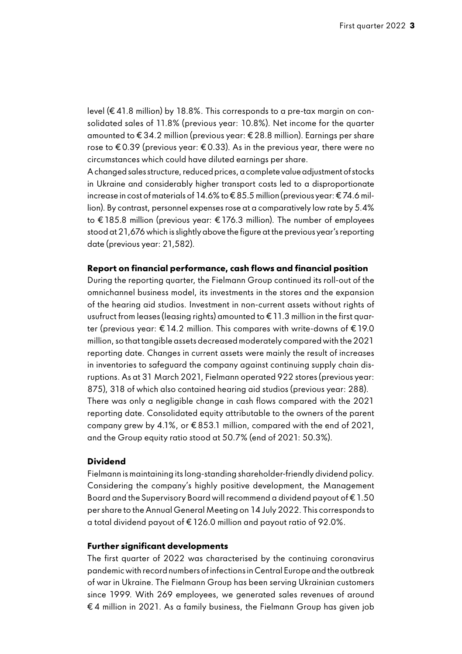level (€ 41.8 million) by 18.8%. This corresponds to a pre-tax margin on consolidated sales of 11.8% (previous year: 10.8%). Net income for the quarter amounted to € 34.2 million (previous year: € 28.8 million). Earnings per share rose to  $\epsilon$  0.39 (previous year:  $\epsilon$  0.33). As in the previous year, there were no circumstances which could have diluted earnings per share.

A changed sales structure, reduced prices, a complete value adjustment of stocks in Ukraine and considerably higher transport costs led to a disproportionate increase in cost of materials of 14.6% to € 85.5 million (previous year: € 74.6 million). By contrast, personnel expenses rose at a comparatively low rate by 5.4% to €185.8 million (previous year: €176.3 million). The number of employees stood at 21,676 which is slightly above the figure at the previous year's reporting date (previous year: 21,582).

#### **Report on financial performance, cash flows and financial position**

During the reporting quarter, the Fielmann Group continued its roll-out of the omnichannel business model, its investments in the stores and the expansion of the hearing aid studios. Investment in non-current assets without rights of usufruct from leases (leasing rights) amounted to € 11.3 million in the first quarter (previous year: € 14.2 million. This compares with write-downs of € 19.0 million, so that tangible assets decreased moderately compared with the 2021 reporting date. Changes in current assets were mainly the result of increases in inventories to safeguard the company against continuing supply chain disruptions. As at 31 March 2021, Fielmann operated 922 stores (previous year: 875), 318 of which also contained hearing aid studios (previous year: 288). There was only a negligible change in cash flows compared with the 2021 reporting date. Consolidated equity attributable to the owners of the parent company grew by 4.1%, or € 853.1 million, compared with the end of 2021, and the Group equity ratio stood at 50.7% (end of 2021: 50.3%).

### **Dividend**

Fielmann is maintaining its long-standing shareholder-friendly dividend policy. Considering the company's highly positive development, the Management Board and the Supervisory Board will recommend a dividend payout of  $\epsilon$  1.50 per share to the Annual General Meeting on 14 July 2022. This corresponds to a total dividend payout of € 126.0 million and payout ratio of 92.0%.

#### **Further significant developments**

The first quarter of 2022 was characterised by the continuing coronavirus pandemic with record numbers of infections in Central Europe and the outbreak of war in Ukraine. The Fielmann Group has been serving Ukrainian customers since 1999. With 269 employees, we generated sales revenues of around € 4 million in 2021. As a family business, the Fielmann Group has given job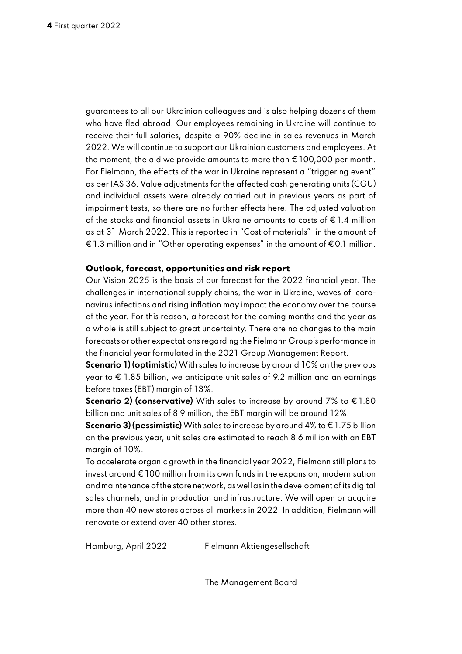guarantees to all our Ukrainian colleagues and is also helping dozens of them who have fled abroad. Our employees remaining in Ukraine will continue to receive their full salaries, despite a 90% decline in sales revenues in March 2022. We will continue to support our Ukrainian customers and employees. At the moment, the aid we provide amounts to more than € 100,000 per month. For Fielmann, the effects of the war in Ukraine represent a "triggering event" as per IAS 36. Value adjustments for the affected cash generating units (CGU) and individual assets were already carried out in previous years as part of impairment tests, so there are no further effects here. The adjusted valuation of the stocks and financial assets in Ukraine amounts to costs of € 1.4 million as at 31 March 2022. This is reported in "Cost of materials" in the amount of € 1.3 million and in "Other operating expenses" in the amount of € 0.1 million.

#### **Outlook, forecast, opportunities and risk report**

Our Vision 2025 is the basis of our forecast for the 2022 financial year. The challenges in international supply chains, the war in Ukraine, waves of coronavirus infections and rising inflation may impact the economy over the course of the year. For this reason, a forecast for the coming months and the year as a whole is still subject to great uncertainty. There are no changes to the main forecasts or other expectations regarding the Fielmann Group's performance in the financial year formulated in the 2021 Group Management Report.

Scenario 1) (optimistic) With sales to increase by around 10% on the previous  $year to € 1.85 billion.$  we anticipate unit sales of 9.2 million and an earnings before taxes (EBT) margin of 13%.

**Scenario 2) (conservative)** With sales to increase by around 7% to  $\epsilon$  1.80 billion and unit sales of 8.9 million, the EBT margin will be around 12%.

**Scenario 3) (pessimistic)** With sales to increase by around 4% to  $\epsilon$  1.75 billion on the previous year, unit sales are estimated to reach 8.6 million with an EBT margin of 10%.

To accelerate organic growth in the financial year 2022, Fielmann still plans to invest around  $\epsilon$  100 million from its own funds in the expansion, modernisation and maintenance of the store network, as well as in the development of its digital sales channels, and in production and infrastructure. We will open or acquire more than 40 new stores across all markets in 2022. In addition, Fielmann will renovate or extend over 40 other stores.

The Management Board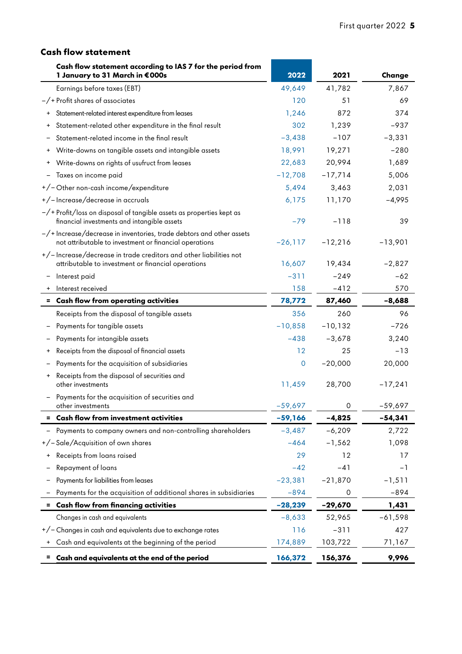## **Cash flow statement**

| 1 January to 31 March in €000s                                                                                                         | Cash flow statement according to IAS 7 for the period from  | 2022        | 2021       | Change    |
|----------------------------------------------------------------------------------------------------------------------------------------|-------------------------------------------------------------|-------------|------------|-----------|
| Earnings before taxes (EBT)                                                                                                            |                                                             | 49,649      | 41,782     | 7,867     |
| $-\prime$ + Profit shares of associates                                                                                                |                                                             | 120         | 51         | 69        |
| Statement-related interest expenditure from leases<br>$\ddot{}$                                                                        |                                                             | 1,246       | 872        | 374       |
| Statement-related other expenditure in the final result<br>$\begin{array}{c} + \end{array}$                                            |                                                             | 302         | 1,239      | $-937$    |
| Statement-related income in the final result                                                                                           |                                                             | $-3,438$    | $-107$     | $-3,331$  |
| Write-downs on tangible assets and intangible assets                                                                                   |                                                             | 18,991      | 19,271     | $-280$    |
| Write-downs on rights of usufruct from leases                                                                                          |                                                             | 22,683      | 20,994     | 1,689     |
| Taxes on income paid                                                                                                                   |                                                             | $-12,708$   | $-17,714$  | 5,006     |
| +/-Other non-cash income/expenditure                                                                                                   |                                                             | 5,494       | 3,463      | 2,031     |
| +/-Increase/decrease in accruals                                                                                                       |                                                             | 6,175       | 11,170     | $-4,995$  |
| $-\prime$ + Profit/loss on disposal of tangible assets as properties kept as<br>financial investments and intangible assets            |                                                             | $-79$       | $-118$     | 39        |
| $-\prime$ + Increase/decrease in inventories, trade debtors and other assets<br>not attributable to investment or financial operations |                                                             | $-26,117$   | $-12,216$  | $-13,901$ |
| +/-Increase/decrease in trade creditors and other liabilities not<br>attributable to investment or financial operations                |                                                             | 16,607      | 19,434     | $-2,827$  |
| Interest paid                                                                                                                          |                                                             | $-311$      | $-249$     | $-62$     |
| Interest received                                                                                                                      |                                                             | 158         | $-412$     | 570       |
| = Cash flow from operating activities                                                                                                  |                                                             | 78,772      | 87,460     | $-8,688$  |
| Receipts from the disposal of tangible assets                                                                                          |                                                             | 356         | 260        | 96        |
| Payments for tangible assets                                                                                                           |                                                             | $-10,858$   | $-10, 132$ | $-726$    |
| Payments for intangible assets                                                                                                         |                                                             | $-438$      | $-3,678$   | 3,240     |
| Receipts from the disposal of financial assets                                                                                         |                                                             | 12          | 25         | $-13$     |
| Payments for the acquisition of subsidiaries                                                                                           |                                                             | $\mathbf 0$ | $-20,000$  | 20,000    |
| Receipts from the disposal of securities and<br>other investments                                                                      |                                                             | 11,459      | 28,700     | $-17,241$ |
| Payments for the acquisition of securities and<br>other investments                                                                    |                                                             | $-59,697$   | 0          | $-59,697$ |
| = Cash flow from investment activities                                                                                                 |                                                             | $-59,166$   | $-4,825$   | $-54,341$ |
|                                                                                                                                        | Payments to company owners and non-controlling shareholders | $-3,487$    | $-6,209$   | 2,722     |
| +/-Sale/Acquisition of own shares                                                                                                      |                                                             | $-464$      | $-1,562$   | 1,098     |
| Receipts from loans raised                                                                                                             |                                                             | 29          | 12         | 17        |
| Repayment of loans                                                                                                                     |                                                             | $-42$       | $-41$      | $-1$      |
| Payments for liabilities from leases                                                                                                   |                                                             | $-23,381$   | $-21,870$  | $-1,511$  |
| - Payments for the acquisition of additional shares in subsidiaries                                                                    |                                                             | $-894$      | $\circ$    | $-894$    |
| = Cash flow from financing activities                                                                                                  |                                                             | $-28,239$   | $-29,670$  | 1,431     |
| Changes in cash and equivalents                                                                                                        |                                                             | $-8,633$    | 52,965     | $-61,598$ |
| +/- Changes in cash and equivalents due to exchange rates                                                                              |                                                             | 116         | $-311$     | 427       |
| Cash and equivalents at the beginning of the period                                                                                    |                                                             | 174,889     | 103,722    | 71,167    |
| $=$<br>Cash and equivalents at the end of the period                                                                                   |                                                             | 166,372     | 156,376    | 9,996     |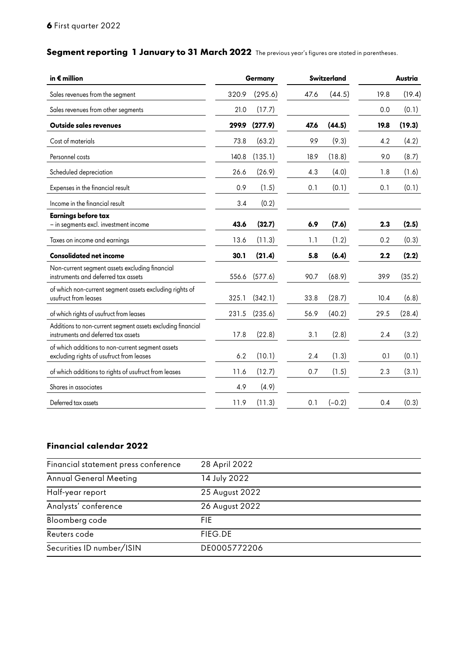## **Segment reporting 1 January to 31 March 2022** The previous year's figures are stated in parentheses.

| in $\boldsymbol{\epsilon}$ million                                                                 |       | Germany       |      | Switzerland |      | Austria |
|----------------------------------------------------------------------------------------------------|-------|---------------|------|-------------|------|---------|
| Sales revenues from the segment                                                                    | 320.9 | (295.6)       | 47.6 | (44.5)      | 19.8 | (19.4)  |
| Sales revenues from other segments                                                                 | 21.0  | (17.7)        |      |             | 0.0  | (0.1)   |
| <b>Outside sales revenues</b>                                                                      | 299.9 | (277.9)       | 47.6 | (44.5)      | 19.8 | (19.3)  |
| Cost of materials                                                                                  | 73.8  | (63.2)        | 9.9  | (9.3)       | 4.2  | (4.2)   |
| Personnel costs                                                                                    | 140.8 | (135.1)       | 18.9 | (18.8)      | 9.0  | (8.7)   |
| Scheduled depreciation                                                                             | 26.6  | (26.9)        | 4.3  | (4.0)       | 1.8  | (1.6)   |
| Expenses in the financial result                                                                   | 0.9   | (1.5)         | 0.1  | (0.1)       | 0.1  | (0.1)   |
| Income in the financial result                                                                     | 3.4   | (0.2)         |      |             |      |         |
| <b>Earnings before tax</b><br>- in segments excl. investment income                                | 43.6  | (32.7)        | 6.9  | (7.6)       | 2.3  | (2.5)   |
| Taxes on income and earnings                                                                       | 13.6  | (11.3)        | 1.1  | (1.2)       | 0.2  | (0.3)   |
| <b>Consolidated net income</b>                                                                     | 30.1  | (21.4)        | 5.8  | (6.4)       | 2.2  | (2.2)   |
| Non-current segment assets excluding financial<br>instruments and deferred tax assets              |       | 556.6 (577.6) | 90.7 | (68.9)      | 39.9 | (35.2)  |
| of which non-current segment assets excluding rights of<br>usufruct from leases                    | 325.1 | (342.1)       | 33.8 | (28.7)      | 10.4 | (6.8)   |
| of which rights of usufruct from leases                                                            |       | 231.5 (235.6) | 56.9 | (40.2)      | 29.5 | (28.4)  |
| Additions to non-current segment assets excluding financial<br>instruments and deferred tax assets | 17.8  | (22.8)        | 3.1  | (2.8)       | 2.4  | (3.2)   |
| of which additions to non-current segment assets<br>excluding rights of usufruct from leases       | 6.2   | (10.1)        | 2.4  | (1.3)       | 0.1  | (0.1)   |
| of which additions to rights of usufruct from leases                                               | 11.6  | (12.7)        | 0.7  | (1.5)       | 2.3  | (3.1)   |
| Shares in associates                                                                               | 4.9   | (4.9)         |      |             |      |         |
| Deferred tax assets                                                                                | 11.9  | (11.3)        | 0.1  | $(-0.2)$    | 0.4  | (0.3)   |

## **Financial calendar 2022**

| Financial statement press conference | 28 April 2022  |
|--------------------------------------|----------------|
| <b>Annual General Meeting</b>        | 14 July 2022   |
| Half-year report                     | 25 August 2022 |
| Analysts' conference                 | 26 August 2022 |
| Bloomberg code                       | FIF.           |
| Reuters code                         | FIEG.DE        |
| Securities ID number/ISIN            | DE0005772206   |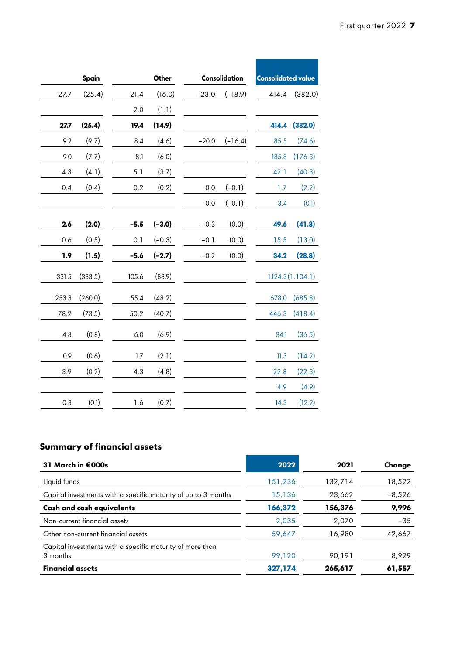ī

| Spain            |  |         | Other           |        | Consolidation     | <b>Consolidated value</b> |                  |
|------------------|--|---------|-----------------|--------|-------------------|---------------------------|------------------|
| (25.4)<br>27.7   |  | 21.4    | (16.0)          |        | $-23.0$ $(-18.9)$ |                           | 414.4 (382.0)    |
|                  |  | 2.0     | (1.1)           |        |                   |                           |                  |
| (25.4)<br>27.7   |  | 19.4    | (14.9)          |        |                   |                           | 414.4 (382.0)    |
| (9.7)<br>9.2     |  | 8.4     | (4.6)           |        | $-20.0$ $(-16.4)$ |                           | 85.5 (74.6)      |
| (7.7)<br>9.0     |  | 8.1     | (6.0)           |        |                   |                           | 185.8 (176.3)    |
| (4.1)<br>4.3     |  | 5.1     | (3.7)           |        |                   | 42.1                      | (40.3)           |
| (0.4)<br>$0.4\,$ |  | $0.2\,$ | (0.2)           |        | $0.0$ $(-0.1)$    | 1.7                       | (2.2)            |
|                  |  |         |                 | 0.0    | $(-0.1)$          | 3.4                       | (0.1)            |
|                  |  |         |                 |        |                   |                           |                  |
| (2.0)<br>2.6     |  |         | $-5.5$ $(-3.0)$ | $-0.3$ | (0.0)             | 49.6                      | (41.8)           |
| (0.5)<br>0.6     |  | 0.1     | $(-0.3)$        | $-0.1$ | (0.0)             | 15.5                      | (13.0)           |
| (1.5)<br>1.9     |  |         | $-5.6$ $(-2.7)$ | $-0.2$ | (0.0)             |                           | 34.2 (28.8)      |
| 331.5 (333.5)    |  | 105.6   | (88.9)          |        |                   |                           | 1.124.3(1.104.1) |
|                  |  |         |                 |        |                   |                           |                  |
| (260.0)<br>253.3 |  | 55.4    | (48.2)          |        |                   |                           | 678.0 (685.8)    |
| (73.5)<br>78.2   |  | 50.2    | (40.7)          |        |                   |                           | 446.3 (418.4)    |
| (0.8)<br>4.8     |  | 6.0     | (6.9)           |        |                   |                           | $34.1$ $(36.5)$  |
|                  |  |         |                 |        |                   |                           |                  |
| (0.6)<br>0.9     |  | 1.7     | (2.1)           |        |                   |                           | $11.3$ $(14.2)$  |
| (0.2)<br>3.9     |  | 4.3     | (4.8)           |        |                   | 22.8                      | (22.3)           |
|                  |  |         |                 |        |                   | 4.9                       | (4.9)            |
| (0.1)<br>0.3     |  | 1.6     | (0.7)           |        |                   | 14.3                      | (12.2)           |
|                  |  |         |                 |        |                   |                           |                  |

## **Summary of financial assets**

| 31 March in €000s                                                     | 2022    | 2021    | Change   |
|-----------------------------------------------------------------------|---------|---------|----------|
| Liquid funds                                                          | 151,236 | 132,714 | 18,522   |
| Capital investments with a specific maturity of up to 3 months        | 15,136  | 23,662  | $-8,526$ |
| Cash and cash equivalents                                             | 166,372 | 156,376 | 9,996    |
| Non-current financial assets                                          | 2.035   | 2,070   | $-35$    |
| Other non-current financial assets                                    | 59,647  | 16,980  | 42,667   |
| Capital investments with a specific maturity of more than<br>3 months | 99,120  | 90,191  | 8,929    |
| <b>Financial assets</b>                                               | 327.174 | 265,617 | 61,557   |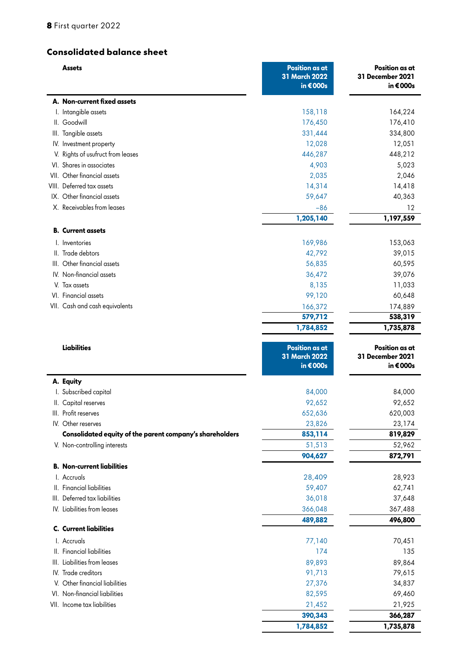## **Consolidated balance sheet**

| Assets                                                   | <b>Position as at</b><br>31 March 2022<br>in €000s | Position as at<br>31 December 2021<br>in €000s        |
|----------------------------------------------------------|----------------------------------------------------|-------------------------------------------------------|
| A. Non-current fixed assets                              |                                                    |                                                       |
| I. Intangible assets                                     | 158,118                                            | 164,224                                               |
| II. Goodwill                                             | 176,450                                            | 176,410                                               |
| III. Tangible assets                                     | 331,444                                            | 334,800                                               |
| IV. Investment property                                  | 12,028                                             | 12,051                                                |
| V. Rights of usufruct from leases                        | 446,287                                            | 448,212                                               |
| VI. Shares in associates                                 | 4,903                                              | 5,023                                                 |
| VII. Other financial assets                              | 2,035                                              | 2,046                                                 |
| VIII. Deferred tax assets                                | 14,314                                             | 14,418                                                |
| IX. Other financial assets                               | 59,647                                             | 40,363                                                |
| X. Receivables from leases                               | $-86$                                              | 12                                                    |
|                                                          | 1,205,140                                          | 1,197,559                                             |
| <b>B.</b> Current assets                                 |                                                    |                                                       |
| I. Inventories                                           | 169,986                                            | 153,063                                               |
| II. Trade debtors                                        | 42,792                                             | 39,015                                                |
| III. Other financial assets                              | 56,835                                             | 60,595                                                |
| IV. Non-financial assets                                 | 36,472                                             | 39,076                                                |
| V. Tax assets                                            | 8,135                                              | 11,033                                                |
| VI. Financial assets                                     | 99,120                                             | 60,648                                                |
| VII. Cash and cash equivalents                           | 166,372                                            | 174,889                                               |
|                                                          | 579,712                                            | 538,319                                               |
|                                                          | 1,784,852                                          | 1,735,878                                             |
| <b>Liabilities</b>                                       | <b>Position as at</b><br>31 March 2022<br>in €000s | Position as at<br><b>31 December 2021</b><br>in €000s |
| A. Equity                                                |                                                    |                                                       |
| I. Subscribed capital                                    | 84,000                                             | 84,000                                                |
| II. Capital reserves                                     | 92,652                                             | 92,652                                                |
| III. Profit reserves                                     | 652,636                                            | 620,003                                               |
| IV. Other reserves                                       | 23,826                                             | 23,174                                                |
| Consolidated equity of the parent company's shareholders | 853,114                                            | 819,829                                               |
| V. Non-controlling interests                             | 51,513                                             | 52,962                                                |
|                                                          | 904,627                                            | 872,791                                               |
| <b>B. Non-current liabilities</b>                        |                                                    |                                                       |
| I. Accruals                                              | 28,409                                             | 28,923                                                |
| II. Financial liabilities                                | 59,407                                             | 62,741                                                |
| III. Deferred tax liabilities                            | 36,018                                             | 37,648                                                |
| IV. Liabilities from leases                              | 366,048                                            | 367,488                                               |
| <b>C.</b> Current liabilities                            | 489,882                                            | 496,800                                               |
|                                                          |                                                    |                                                       |
| I. Accruals                                              | 77,140                                             | 70,451                                                |
| II. Financial liabilities                                | 174                                                | 135                                                   |
| III. Liabilities from leases                             | 89,893                                             | 89,864                                                |
| IV. Trade creditors                                      | 91,713                                             | 79,615                                                |
| V. Other financial liabilities                           | 27,376                                             | 34,837                                                |
| VI. Non-financial liabilities                            | 82,595                                             | 69,460                                                |
| VII. Income tax liabilities                              | 21,452                                             | 21,925                                                |
|                                                          | 390,343                                            | 366,287                                               |
|                                                          | 1,784,852                                          | 1,735,878                                             |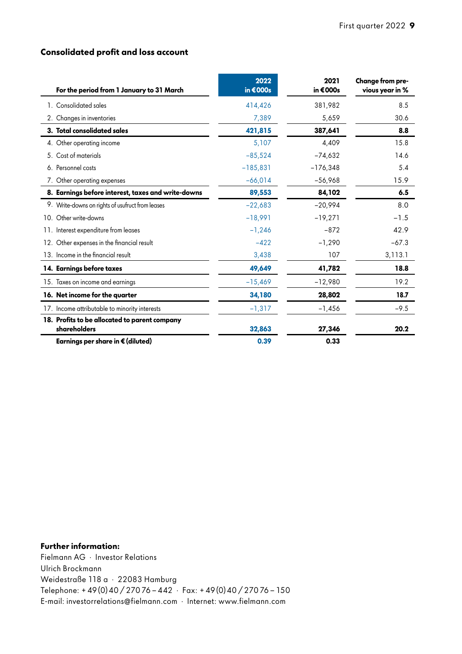## **Consolidated profit and loss account**

| For the period from 1 January to 31 March                     | 2022<br>in $€000s$ | 2021<br>in €000s | Change from pre-<br>vious year in % |
|---------------------------------------------------------------|--------------------|------------------|-------------------------------------|
| 1. Consolidated sales                                         | 414,426            | 381.982          | 8.5                                 |
| 2. Changes in inventories                                     | 7,389              | 5,659            | 30.6                                |
| 3. Total consolidated sales                                   | 421,815            | 387.641          | 8.8                                 |
| 4. Other operating income                                     | 5,107              | 4,409            | 15.8                                |
| Cost of materials<br>5.                                       | $-85,524$          | $-74,632$        | 14.6                                |
| 6. Personnel costs                                            | $-185,831$         | $-176,348$       | 5.4                                 |
| 7. Other operating expenses                                   | $-66,014$          | $-56,968$        | 15.9                                |
| 8. Earnings before interest, taxes and write-downs            | 89,553             | 84,102           | 6.5                                 |
| 9. Write-downs on rights of usufruct from leases              | $-22,683$          | $-20,994$        | 8.0                                 |
| 10. Other write-downs                                         | $-18.991$          | $-19,271$        | $-1.5$                              |
| 11. Interest expenditure from leases                          | $-1,246$           | $-872$           | 42.9                                |
| 12. Other expenses in the financial result                    | $-422$             | $-1,290$         | $-67.3$                             |
| 13. Income in the financial result                            | 3,438              | 107              | 3,113.1                             |
| 14. Earnings before taxes                                     | 49.649             | 41,782           | 18.8                                |
| 15. Taxes on income and earnings                              | $-15,469$          | $-12,980$        | 19.2                                |
| 16. Net income for the quarter                                | 34,180             | 28,802           | 18.7                                |
| 17. Income attributable to minority interests                 | $-1,317$           | $-1,456$         | $-9.5$                              |
| 18. Profits to be allocated to parent company<br>shareholders | 32,863             | 27,346           | 20.2                                |
| Earnings per share in € (diluted)                             | 0.39               | 0.33             |                                     |

## **Further information:**

Fielmann AG · Investor Relations Ulrich Brockmann Weidestraße 118 a · 22083 Hamburg Telephone: +49(0)40/27076 - 442 · Fax: +49(0)40/27076 - 150 E-mail: investorrelations@fielmann.com · Internet: www.fielmann.com